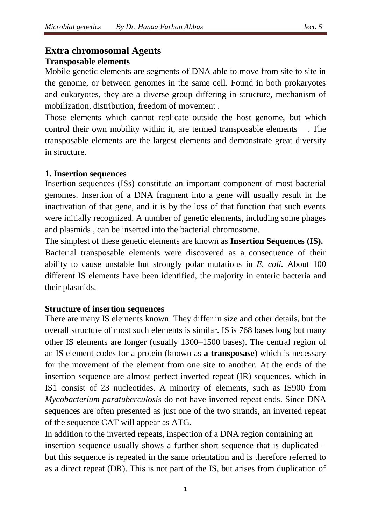# **Extra chromosomal Agents Transposable elements**

Mobile genetic elements are segments of DNA able to move from site to site in the genome, or between genomes in the same cell. Found in both prokaryotes and eukaryotes, they are a diverse group differing in structure, mechanism of mobilization, distribution, freedom of movement .

Those elements which cannot replicate outside the host genome, but which control their own mobility within it, are termed transposable elements . The transposable elements are the largest elements and demonstrate great diversity in structure.

# **1. Insertion sequences**

Insertion sequences (ISs) constitute an important component of most bacterial genomes. Insertion of a DNA fragment into a gene will usually result in the inactivation of that gene, and it is by the loss of that function that such events were initially recognized. A number of genetic elements, including some phages and plasmids , can be inserted into the bacterial chromosome.

The simplest of these genetic elements are known as **Insertion Sequences (IS).**  Bacterial transposable elements were discovered as a consequence of their ability to cause unstable but strongly polar mutations in *E. coli.* About 100 different IS elements have been identified, the majority in enteric bacteria and their plasmids.

# **Structure of insertion sequences**

There are many IS elements known. They differ in size and other details, but the overall structure of most such elements is similar. IS is 768 bases long but many other IS elements are longer (usually 1300–1500 bases). The central region of an IS element codes for a protein (known as **a transposase**) which is necessary for the movement of the element from one site to another. At the ends of the insertion sequence are almost perfect inverted repeat (IR) sequences, which in IS1 consist of 23 nucleotides. A minority of elements, such as IS900 from *Mycobacterium paratuberculosis* do not have inverted repeat ends. Since DNA sequences are often presented as just one of the two strands, an inverted repeat of the sequence CAT will appear as ATG.

In addition to the inverted repeats, inspection of a DNA region containing an insertion sequence usually shows a further short sequence that is duplicated – but this sequence is repeated in the same orientation and is therefore referred to as a direct repeat (DR). This is not part of the IS, but arises from duplication of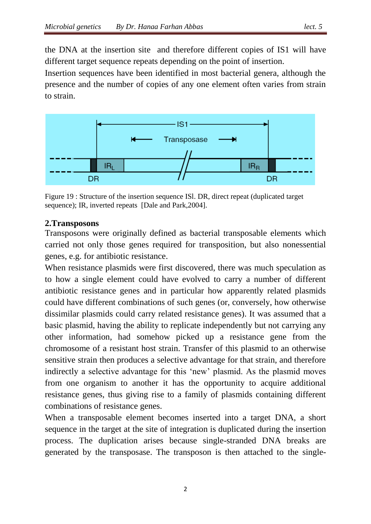the DNA at the insertion site and therefore different copies of IS1 will have different target sequence repeats depending on the point of insertion.

Insertion sequences have been identified in most bacterial genera, although the presence and the number of copies of any one element often varies from strain to strain.



Figure 19 : Structure of the insertion sequence ISl. DR, direct repeat (duplicated target sequence); IR, inverted repeats [Dale and Park,2004].

# **2.Transposons**

Transposons were originally defined as bacterial transposable elements which carried not only those genes required for transposition, but also nonessential genes, e.g. for antibiotic resistance.

When resistance plasmids were first discovered, there was much speculation as to how a single element could have evolved to carry a number of different antibiotic resistance genes and in particular how apparently related plasmids could have different combinations of such genes (or, conversely, how otherwise dissimilar plasmids could carry related resistance genes). It was assumed that a basic plasmid, having the ability to replicate independently but not carrying any other information, had somehow picked up a resistance gene from the chromosome of a resistant host strain. Transfer of this plasmid to an otherwise sensitive strain then produces a selective advantage for that strain, and therefore indirectly a selective advantage for this 'new' plasmid. As the plasmid moves from one organism to another it has the opportunity to acquire additional resistance genes, thus giving rise to a family of plasmids containing different combinations of resistance genes.

When a transposable element becomes inserted into a target DNA, a short sequence in the target at the site of integration is duplicated during the insertion process. The duplication arises because single-stranded DNA breaks are generated by the transposase. The transposon is then attached to the single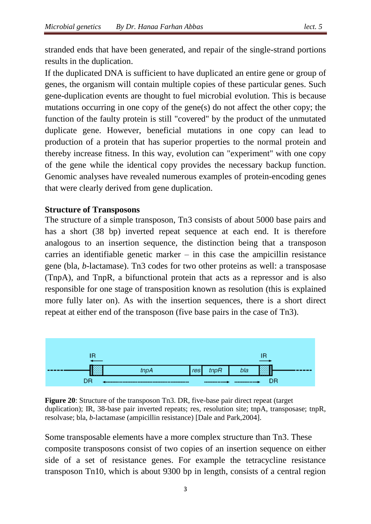stranded ends that have been generated, and repair of the single-strand portions results in the duplication.

If the duplicated DNA is sufficient to have duplicated an entire gene or group of genes, the organism will contain multiple copies of these particular genes. Such gene-duplication events are thought to fuel microbial evolution. This is because mutations occurring in one copy of the gene(s) do not affect the other copy; the function of the faulty protein is still "covered" by the product of the unmutated duplicate gene. However, beneficial mutations in one copy can lead to production of a protein that has superior properties to the normal protein and thereby increase fitness. In this way, evolution can "experiment" with one copy of the gene while the identical copy provides the necessary backup function. Genomic analyses have revealed numerous examples of protein-encoding genes that were clearly derived from gene duplication.

#### **Structure of Transposons**

The structure of a simple transposon, Tn3 consists of about 5000 base pairs and has a short (38 bp) inverted repeat sequence at each end. It is therefore analogous to an insertion sequence, the distinction being that a transposon carries an identifiable genetic marker  $-$  in this case the ampicillin resistance gene (bla, *b*-lactamase). Tn3 codes for two other proteins as well: a transposase (TnpA), and TnpR, a bifunctional protein that acts as a repressor and is also responsible for one stage of transposition known as resolution (this is explained more fully later on). As with the insertion sequences, there is a short direct repeat at either end of the transposon (five base pairs in the case of Tn3).



**Figure 20**: Structure of the transposon Tn3. DR, five-base pair direct repeat (target duplication); IR, 38-base pair inverted repeats; res, resolution site; tnpA, transposase; tnpR, resolvase; bla, *b*-lactamase (ampicillin resistance) [Dale and Park,2004].

Some transposable elements have a more complex structure than Tn3. These composite transposons consist of two copies of an insertion sequence on either side of a set of resistance genes. For example the tetracycline resistance transposon Tn10, which is about 9300 bp in length, consists of a central region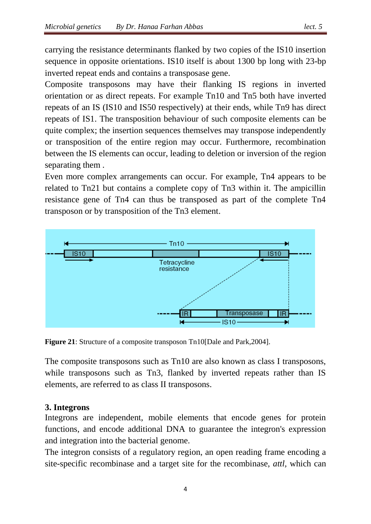carrying the resistance determinants flanked by two copies of the IS10 insertion sequence in opposite orientations. IS10 itself is about 1300 bp long with 23-bp inverted repeat ends and contains a transposase gene.

Composite transposons may have their flanking IS regions in inverted orientation or as direct repeats. For example Tn10 and Tn5 both have inverted repeats of an IS (IS10 and IS50 respectively) at their ends, while Tn9 has direct repeats of IS1. The transposition behaviour of such composite elements can be quite complex; the insertion sequences themselves may transpose independently or transposition of the entire region may occur. Furthermore, recombination between the IS elements can occur, leading to deletion or inversion of the region separating them .

Even more complex arrangements can occur. For example, Tn4 appears to be related to Tn21 but contains a complete copy of Tn3 within it. The ampicillin resistance gene of Tn4 can thus be transposed as part of the complete Tn4 transposon or by transposition of the Tn3 element.



**Figure 21:** Structure of a composite transposon Tn10[Dale and Park, 2004].

The composite transposons such as Tn10 are also known as class I transposons, while transposons such as Tn3, flanked by inverted repeats rather than IS elements, are referred to as class II transposons.

# **3. Integrons**

Integrons are independent, mobile elements that encode genes for protein functions, and encode additional DNA to guarantee the integron's expression and integration into the bacterial genome.

The integron consists of a regulatory region, an open reading frame encoding a site-specific recombinase and a target site for the recombinase, *attl,* which can